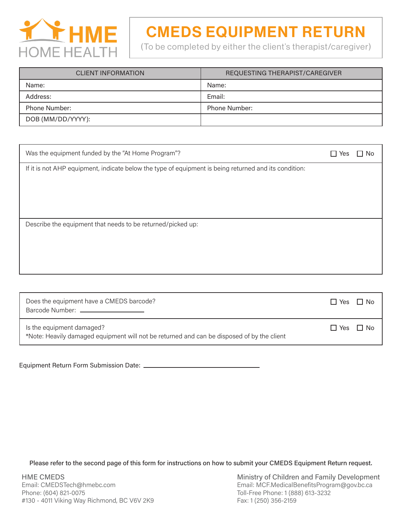

# CMEDS EQUIPMENT RETURN

(To be completed by either the client's therapist/caregiver)

| <b>CLIENT INFORMATION</b> | REQUESTING THERAPIST/CAREGIVER |
|---------------------------|--------------------------------|
| Name:                     | Name:                          |
| Address:                  | Email:                         |
| <b>Phone Number:</b>      | <b>Phone Number:</b>           |
| DOB (MM/DD/YYYY):         |                                |

| Was the equipment funded by the "At Home Program"?                                                    | Yes | No |
|-------------------------------------------------------------------------------------------------------|-----|----|
| If it is not AHP equipment, indicate below the type of equipment is being returned and its condition: |     |    |
|                                                                                                       |     |    |
|                                                                                                       |     |    |
|                                                                                                       |     |    |
| Describe the equipment that needs to be returned/picked up:                                           |     |    |
|                                                                                                       |     |    |
|                                                                                                       |     |    |
|                                                                                                       |     |    |

| Does the equipment have a CMEDS barcode?<br>Barcode Number: _____________________                                       | $\Box$ Yes $\Box$ No |  |
|-------------------------------------------------------------------------------------------------------------------------|----------------------|--|
| Is the equipment damaged?<br>*Note: Heavily damaged equipment will not be returned and can be disposed of by the client | $\Box$ Yes $\Box$ No |  |

Equipment Return Form Submission Date:

Please refer to the second page of this form for instructions on how to submit your CMEDS Equipment Return request.